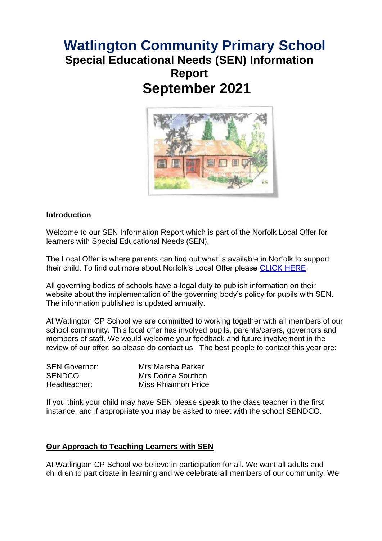# **Watlington Community Primary School Special Educational Needs (SEN) Information Report September 2021**



#### **Introduction**

Welcome to our SEN Information Report which is part of the Norfolk Local Offer for learners with Special Educational Needs (SEN).

The Local Offer is where parents can find out what is available in Norfolk to support their child. To find out more about Norfolk's Local Offer please [CLICK HERE.](https://www.norfolk.gov.uk/children-and-families/send-local-offer)

All governing bodies of schools have a legal duty to publish information on their website about the implementation of the governing body's policy for pupils with SEN. The information published is updated annually.

At Watlington CP School we are committed to working together with all members of our school community. This local offer has involved pupils, parents/carers, governors and members of staff. We would welcome your feedback and future involvement in the review of our offer, so please do contact us. The best people to contact this year are:

| <b>SEN Governor:</b> | Mrs Marsha Parker   |
|----------------------|---------------------|
| <b>SENDCO</b>        | Mrs Donna Southon   |
| Headteacher:         | Miss Rhiannon Price |

If you think your child may have SEN please speak to the class teacher in the first instance, and if appropriate you may be asked to meet with the school SENDCO.

#### **Our Approach to Teaching Learners with SEN**

At Watlington CP School we believe in participation for all. We want all adults and children to participate in learning and we celebrate all members of our community. We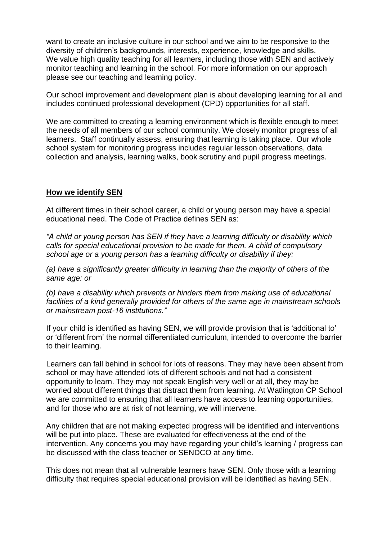want to create an inclusive culture in our school and we aim to be responsive to the diversity of children's backgrounds, interests, experience, knowledge and skills. We value high quality teaching for all learners, including those with SEN and actively monitor teaching and learning in the school. For more information on our approach please see our teaching and learning policy.

Our school improvement and development plan is about developing learning for all and includes continued professional development (CPD) opportunities for all staff.

We are committed to creating a learning environment which is flexible enough to meet the needs of all members of our school community. We closely monitor progress of all learners. Staff continually assess, ensuring that learning is taking place. Our whole school system for monitoring progress includes regular lesson observations, data collection and analysis, learning walks, book scrutiny and pupil progress meetings.

## **How we identify SEN**

At different times in their school career, a child or young person may have a special educational need. The Code of Practice defines SEN as:

*"A child or young person has SEN if they have a learning difficulty or disability which calls for special educational provision to be made for them. A child of compulsory school age or a young person has a learning difficulty or disability if they:* 

*(a) have a significantly greater difficulty in learning than the majority of others of the same age: or* 

*(b) have a disability which prevents or hinders them from making use of educational facilities of a kind generally provided for others of the same age in mainstream schools or mainstream post-16 institutions."*

If your child is identified as having SEN, we will provide provision that is 'additional to' or 'different from' the normal differentiated curriculum, intended to overcome the barrier to their learning.

Learners can fall behind in school for lots of reasons. They may have been absent from school or may have attended lots of different schools and not had a consistent opportunity to learn. They may not speak English very well or at all, they may be worried about different things that distract them from learning. At Watlington CP School we are committed to ensuring that all learners have access to learning opportunities, and for those who are at risk of not learning, we will intervene.

Any children that are not making expected progress will be identified and interventions will be put into place. These are evaluated for effectiveness at the end of the intervention. Any concerns you may have regarding your child's learning / progress can be discussed with the class teacher or SENDCO at any time.

This does not mean that all vulnerable learners have SEN. Only those with a learning difficulty that requires special educational provision will be identified as having SEN.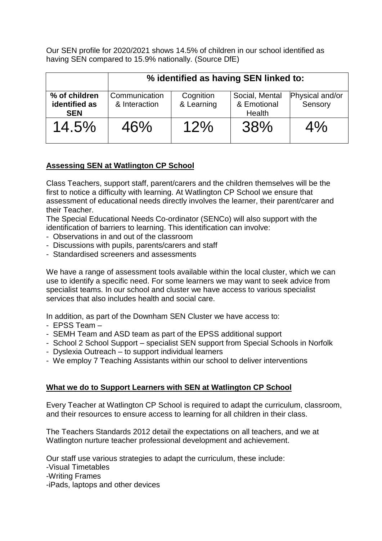Our SEN profile for 2020/2021 shows 14.5% of children in our school identified as having SEN compared to 15.9% nationally. (Source DfE)

|                                              | % identified as having SEN linked to: |                         |                                         |                            |
|----------------------------------------------|---------------------------------------|-------------------------|-----------------------------------------|----------------------------|
| % of children<br>identified as<br><b>SEN</b> | Communication<br>& Interaction        | Cognition<br>& Learning | Social, Mental<br>& Emotional<br>Health | Physical and/or<br>Sensory |
| 14.5%                                        | 46%                                   | 12%                     | 38%                                     | 4%                         |

# **Assessing SEN at Watlington CP School**

Class Teachers, support staff, parent/carers and the children themselves will be the first to notice a difficulty with learning. At Watlington CP School we ensure that assessment of educational needs directly involves the learner, their parent/carer and their Teacher.

The Special Educational Needs Co-ordinator (SENCo) will also support with the identification of barriers to learning. This identification can involve:

- Observations in and out of the classroom
- Discussions with pupils, parents/carers and staff
- Standardised screeners and assessments

We have a range of assessment tools available within the local cluster, which we can use to identify a specific need. For some learners we may want to seek advice from specialist teams. In our school and cluster we have access to various specialist services that also includes health and social care.

In addition, as part of the Downham SEN Cluster we have access to:

- EPSS Team –
- SEMH Team and ASD team as part of the EPSS additional support
- School 2 School Support specialist SEN support from Special Schools in Norfolk
- Dyslexia Outreach to support individual learners
- We employ 7 Teaching Assistants within our school to deliver interventions

## **What we do to Support Learners with SEN at Watlington CP School**

Every Teacher at Watlington CP School is required to adapt the curriculum, classroom, and their resources to ensure access to learning for all children in their class.

The Teachers Standards 2012 detail the expectations on all teachers, and we at Watlington nurture teacher professional development and achievement.

Our staff use various strategies to adapt the curriculum, these include:

-Visual Timetables

-Writing Frames

-iPads, laptops and other devices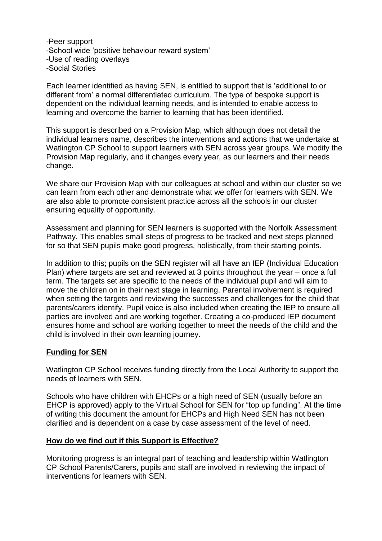-Peer support -School wide 'positive behaviour reward system' -Use of reading overlays -Social Stories

Each learner identified as having SEN, is entitled to support that is 'additional to or different from' a normal differentiated curriculum. The type of bespoke support is dependent on the individual learning needs, and is intended to enable access to learning and overcome the barrier to learning that has been identified.

This support is described on a Provision Map, which although does not detail the individual learners name, describes the interventions and actions that we undertake at Watlington CP School to support learners with SEN across year groups. We modify the Provision Map regularly, and it changes every year, as our learners and their needs change.

We share our Provision Map with our colleagues at school and within our cluster so we can learn from each other and demonstrate what we offer for learners with SEN. We are also able to promote consistent practice across all the schools in our cluster ensuring equality of opportunity.

Assessment and planning for SEN learners is supported with the Norfolk Assessment Pathway. This enables small steps of progress to be tracked and next steps planned for so that SEN pupils make good progress, holistically, from their starting points.

In addition to this; pupils on the SEN register will all have an IEP (Individual Education Plan) where targets are set and reviewed at 3 points throughout the year – once a full term. The targets set are specific to the needs of the individual pupil and will aim to move the children on in their next stage in learning. Parental involvement is required when setting the targets and reviewing the successes and challenges for the child that parents/carers identify. Pupil voice is also included when creating the IEP to ensure all parties are involved and are working together. Creating a co-produced IEP document ensures home and school are working together to meet the needs of the child and the child is involved in their own learning journey.

## **Funding for SEN**

Watlington CP School receives funding directly from the Local Authority to support the needs of learners with SEN.

Schools who have children with EHCPs or a high need of SEN (usually before an EHCP is approved) apply to the Virtual School for SEN for "top up funding". At the time of writing this document the amount for EHCPs and High Need SEN has not been clarified and is dependent on a case by case assessment of the level of need.

## **How do we find out if this Support is Effective?**

Monitoring progress is an integral part of teaching and leadership within Watlington CP School Parents/Carers, pupils and staff are involved in reviewing the impact of interventions for learners with SEN.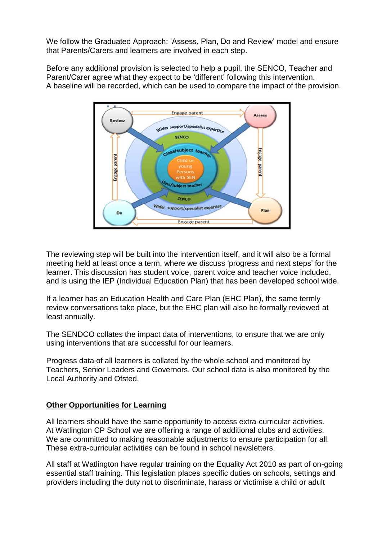We follow the Graduated Approach: 'Assess, Plan, Do and Review' model and ensure that Parents/Carers and learners are involved in each step.

Before any additional provision is selected to help a pupil, the SENCO, Teacher and Parent/Carer agree what they expect to be 'different' following this intervention. A baseline will be recorded, which can be used to compare the impact of the provision.



The reviewing step will be built into the intervention itself, and it will also be a formal meeting held at least once a term, where we discuss 'progress and next steps' for the learner. This discussion has student voice, parent voice and teacher voice included, and is using the IEP (Individual Education Plan) that has been developed school wide.

If a learner has an Education Health and Care Plan (EHC Plan), the same termly review conversations take place, but the EHC plan will also be formally reviewed at least annually.

The SENDCO collates the impact data of interventions, to ensure that we are only using interventions that are successful for our learners.

Progress data of all learners is collated by the whole school and monitored by Teachers, Senior Leaders and Governors. Our school data is also monitored by the Local Authority and Ofsted.

## **Other Opportunities for Learning**

All learners should have the same opportunity to access extra-curricular activities. At Watlington CP School we are offering a range of additional clubs and activities. We are committed to making reasonable adjustments to ensure participation for all. These extra-curricular activities can be found in school newsletters.

All staff at Watlington have regular training on the Equality Act 2010 as part of on-going essential staff training. This legislation places specific duties on schools, settings and providers including the duty not to discriminate, harass or victimise a child or adult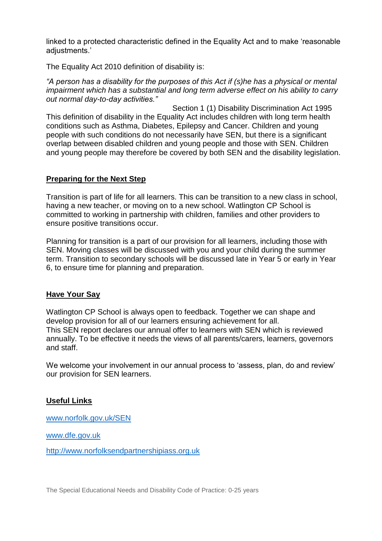linked to a protected characteristic defined in the Equality Act and to make 'reasonable adiustments.'

The Equality Act 2010 definition of disability is:

*"A person has a disability for the purposes of this Act if (s)he has a physical or mental impairment which has a substantial and long term adverse effect on his ability to carry out normal day-to-day activities."* 

 Section 1 (1) Disability Discrimination Act 1995 This definition of disability in the Equality Act includes children with long term health conditions such as Asthma, Diabetes, Epilepsy and Cancer. Children and young people with such conditions do not necessarily have SEN, but there is a significant overlap between disabled children and young people and those with SEN. Children and young people may therefore be covered by both SEN and the disability legislation.

## **Preparing for the Next Step**

Transition is part of life for all learners. This can be transition to a new class in school, having a new teacher, or moving on to a new school. Watlington CP School is committed to working in partnership with children, families and other providers to ensure positive transitions occur.

Planning for transition is a part of our provision for all learners, including those with SEN. Moving classes will be discussed with you and your child during the summer term. Transition to secondary schools will be discussed late in Year 5 or early in Year 6, to ensure time for planning and preparation.

## **Have Your Say**

Watlington CP School is always open to feedback. Together we can shape and develop provision for all of our learners ensuring achievement for all. This SEN report declares our annual offer to learners with SEN which is reviewed annually. To be effective it needs the views of all parents/carers, learners, governors and staff.

We welcome your involvement in our annual process to 'assess, plan, do and review' our provision for SEN learners.

## **Useful Links**

[www.norfolk.gov.uk/SEN](http://www.norfolk.gov.uk/SEN)

[www.dfe.gov.uk](http://www.dfe.gov.uk/)

[http://www.norfolksendpartnershipiass.org.uk](http://www.norfolksendpartnershipiass.org.uk/)

The Special Educational Needs and Disability Code of Practice: 0-25 years